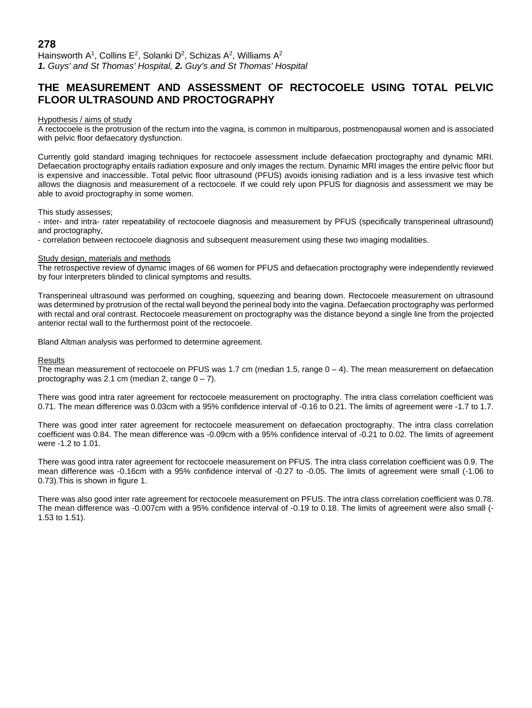# **THE MEASUREMENT AND ASSESSMENT OF RECTOCOELE USING TOTAL PELVIC FLOOR ULTRASOUND AND PROCTOGRAPHY**

## Hypothesis / aims of study

A rectocoele is the protrusion of the rectum into the vagina, is common in multiparous, postmenopausal women and is associated with pelvic floor defaecatory dysfunction.

Currently gold standard imaging techniques for rectocoele assessment include defaecation proctography and dynamic MRI. Defaecation proctography entails radiation exposure and only images the rectum. Dynamic MRI images the entire pelvic floor but is expensive and inaccessible. Total pelvic floor ultrasound (PFUS) avoids ionising radiation and is a less invasive test which allows the diagnosis and measurement of a rectocoele. If we could rely upon PFUS for diagnosis and assessment we may be able to avoid proctography in some women.

This study assesses;

- inter- and intra- rater repeatability of rectocoele diagnosis and measurement by PFUS (specifically transperineal ultrasound) and proctography,

- correlation between rectocoele diagnosis and subsequent measurement using these two imaging modalities.

## Study design, materials and methods

The retrospective review of dynamic images of 66 women for PFUS and defaecation proctography were independently reviewed by four interpreters blinded to clinical symptoms and results.

Transperineal ultrasound was performed on coughing, squeezing and bearing down. Rectocoele measurement on ultrasound was determined by protrusion of the rectal wall beyond the perineal body into the vagina. Defaecation proctography was performed with rectal and oral contrast. Rectocoele measurement on proctography was the distance beyond a single line from the projected anterior rectal wall to the furthermost point of the rectocoele.

Bland Altman analysis was performed to determine agreement.

## Results

The mean measurement of rectocoele on PFUS was 1.7 cm (median 1.5, range  $0 - 4$ ). The mean measurement on defaecation proctography was 2.1 cm (median 2, range  $0 - 7$ ).

There was good intra rater agreement for rectocoele measurement on proctography. The intra class correlation coefficient was 0.71. The mean difference was 0.03cm with a 95% confidence interval of -0.16 to 0.21. The limits of agreement were -1.7 to 1.7.

There was good inter rater agreement for rectocoele measurement on defaecation proctography. The intra class correlation coefficient was 0.84. The mean difference was -0.09cm with a 95% confidence interval of -0.21 to 0.02. The limits of agreement were -1.2 to 1.01.

There was good intra rater agreement for rectocoele measurement on PFUS. The intra class correlation coefficient was 0.9. The mean difference was -0.16cm with a 95% confidence interval of -0.27 to -0.05. The limits of agreement were small (-1.06 to 0.73).This is shown in figure 1.

There was also good inter rate agreement for rectocoele measurement on PFUS. The intra class correlation coefficient was 0.78. The mean difference was -0.007cm with a 95% confidence interval of -0.19 to 0.18. The limits of agreement were also small (- 1.53 to 1.51).